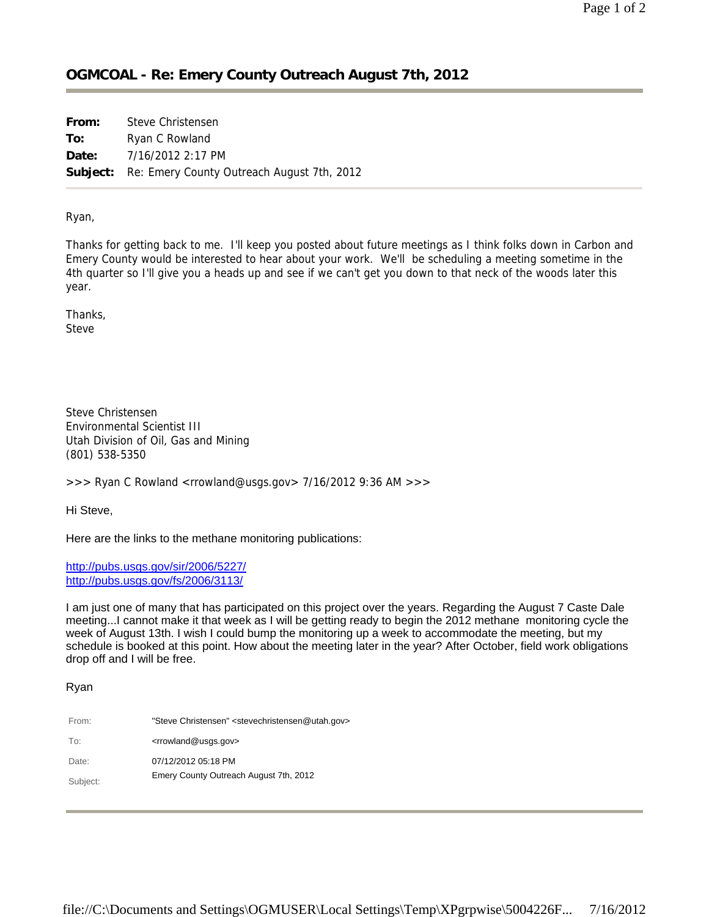## **OGMCOAL - Re: Emery County Outreach August 7th, 2012**

**From:** Steve Christensen **To:** Ryan C Rowland **Date:** 7/16/2012 2:17 PM **Subject:** Re: Emery County Outreach August 7th, 2012

Ryan,

Thanks for getting back to me. I'll keep you posted about future meetings as I think folks down in Carbon and Emery County would be interested to hear about your work. We'll be scheduling a meeting sometime in the 4th quarter so I'll give you a heads up and see if we can't get you down to that neck of the woods later this year.

Thanks, Steve

Steve Christensen Environmental Scientist III Utah Division of Oil, Gas and Mining (801) 538-5350

>>> Ryan C Rowland <rrowland@usgs.gov> 7/16/2012 9:36 AM >>>

Hi Steve,

Here are the links to the methane monitoring publications:

http://pubs.usgs.gov/sir/2006/5227/ http://pubs.usgs.gov/fs/2006/3113/

I am just one of many that has participated on this project over the years. Regarding the August 7 Caste Dale meeting...I cannot make it that week as I will be getting ready to begin the 2012 methane monitoring cycle the week of August 13th. I wish I could bump the monitoring up a week to accommodate the meeting, but my schedule is booked at this point. How about the meeting later in the year? After October, field work obligations drop off and I will be free.

## Ryan

| From:    | "Steve Christensen" <stevechristensen@utah.gov></stevechristensen@utah.gov> |
|----------|-----------------------------------------------------------------------------|
| To:      | <rrowland@usgs.gov></rrowland@usgs.gov>                                     |
| Date:    | 07/12/2012 05:18 PM                                                         |
| Subject: | Emery County Outreach August 7th, 2012                                      |